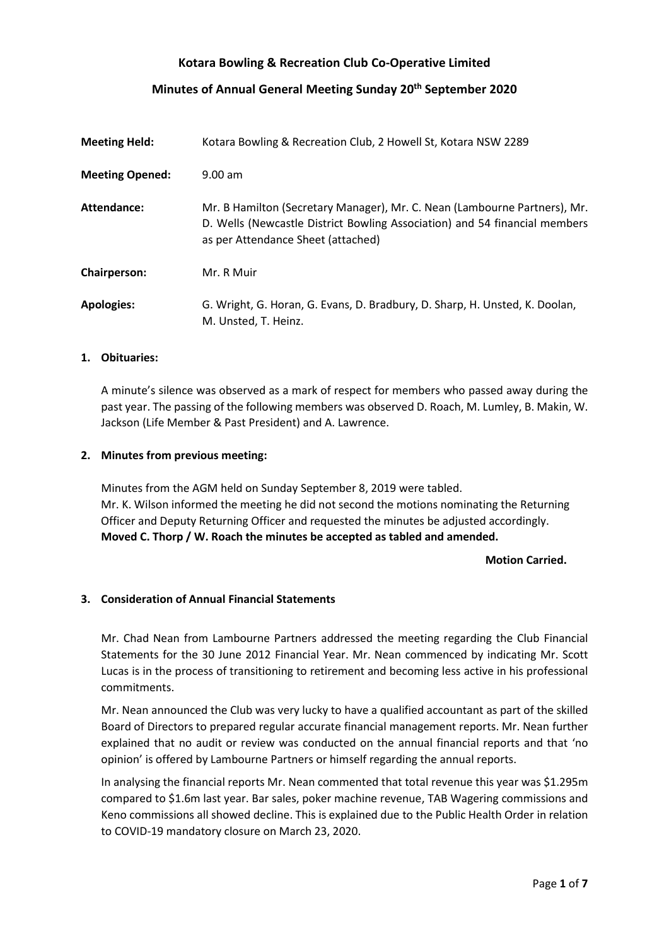# **Kotara Bowling & Recreation Club Co-Operative Limited**

# **Minutes of Annual General Meeting Sunday 20th September 2020**

| <b>Meeting Held:</b>   | Kotara Bowling & Recreation Club, 2 Howell St, Kotara NSW 2289                                                                                                                                |  |  |
|------------------------|-----------------------------------------------------------------------------------------------------------------------------------------------------------------------------------------------|--|--|
| <b>Meeting Opened:</b> | $9.00$ am                                                                                                                                                                                     |  |  |
| Attendance:            | Mr. B Hamilton (Secretary Manager), Mr. C. Nean (Lambourne Partners), Mr.<br>D. Wells (Newcastle District Bowling Association) and 54 financial members<br>as per Attendance Sheet (attached) |  |  |
| Chairperson:           | Mr. R Muir                                                                                                                                                                                    |  |  |
| <b>Apologies:</b>      | G. Wright, G. Horan, G. Evans, D. Bradbury, D. Sharp, H. Unsted, K. Doolan,<br>M. Unsted, T. Heinz.                                                                                           |  |  |

#### **1. Obituaries:**

A minute's silence was observed as a mark of respect for members who passed away during the past year. The passing of the following members was observed D. Roach, M. Lumley, B. Makin, W. Jackson (Life Member & Past President) and A. Lawrence.

### **2. Minutes from previous meeting:**

Minutes from the AGM held on Sunday September 8, 2019 were tabled. Mr. K. Wilson informed the meeting he did not second the motions nominating the Returning Officer and Deputy Returning Officer and requested the minutes be adjusted accordingly. **Moved C. Thorp / W. Roach the minutes be accepted as tabled and amended.**

### **Motion Carried.**

# **3. Consideration of Annual Financial Statements**

Mr. Chad Nean from Lambourne Partners addressed the meeting regarding the Club Financial Statements for the 30 June 2012 Financial Year. Mr. Nean commenced by indicating Mr. Scott Lucas is in the process of transitioning to retirement and becoming less active in his professional commitments.

Mr. Nean announced the Club was very lucky to have a qualified accountant as part of the skilled Board of Directors to prepared regular accurate financial management reports. Mr. Nean further explained that no audit or review was conducted on the annual financial reports and that 'no opinion' is offered by Lambourne Partners or himself regarding the annual reports.

In analysing the financial reports Mr. Nean commented that total revenue this year was \$1.295m compared to \$1.6m last year. Bar sales, poker machine revenue, TAB Wagering commissions and Keno commissions all showed decline. This is explained due to the Public Health Order in relation to COVID-19 mandatory closure on March 23, 2020.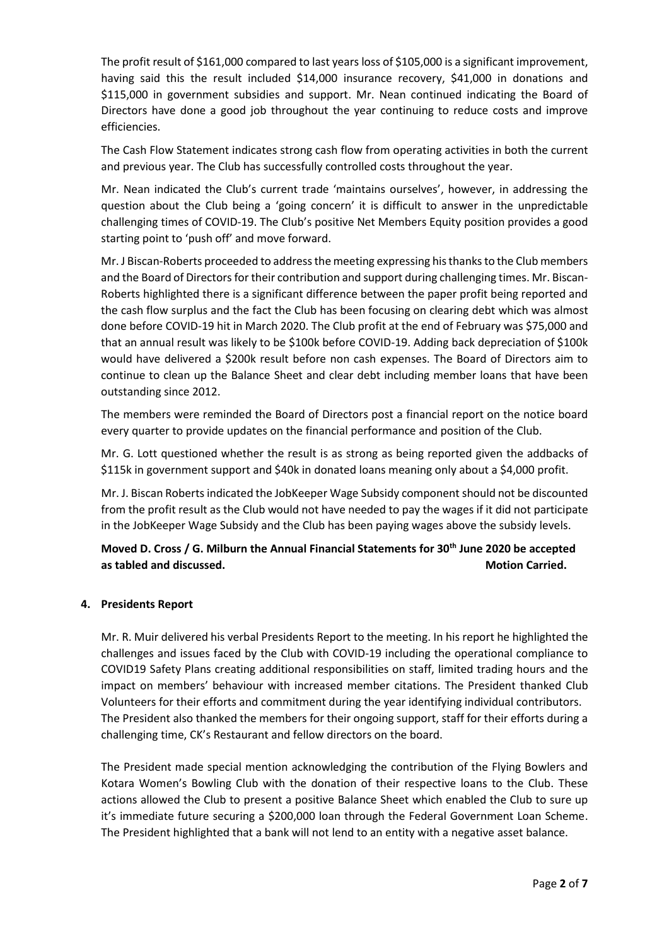The profit result of \$161,000 compared to last years loss of \$105,000 is a significant improvement, having said this the result included \$14,000 insurance recovery, \$41,000 in donations and \$115,000 in government subsidies and support. Mr. Nean continued indicating the Board of Directors have done a good job throughout the year continuing to reduce costs and improve efficiencies.

The Cash Flow Statement indicates strong cash flow from operating activities in both the current and previous year. The Club has successfully controlled costs throughout the year.

Mr. Nean indicated the Club's current trade 'maintains ourselves', however, in addressing the question about the Club being a 'going concern' it is difficult to answer in the unpredictable challenging times of COVID-19. The Club's positive Net Members Equity position provides a good starting point to 'push off' and move forward.

Mr. J Biscan-Roberts proceeded to address the meeting expressing his thanks to the Club members and the Board of Directors for their contribution and support during challenging times. Mr. Biscan-Roberts highlighted there is a significant difference between the paper profit being reported and the cash flow surplus and the fact the Club has been focusing on clearing debt which was almost done before COVID-19 hit in March 2020. The Club profit at the end of February was \$75,000 and that an annual result was likely to be \$100k before COVID-19. Adding back depreciation of \$100k would have delivered a \$200k result before non cash expenses. The Board of Directors aim to continue to clean up the Balance Sheet and clear debt including member loans that have been outstanding since 2012.

The members were reminded the Board of Directors post a financial report on the notice board every quarter to provide updates on the financial performance and position of the Club.

Mr. G. Lott questioned whether the result is as strong as being reported given the addbacks of \$115k in government support and \$40k in donated loans meaning only about a \$4,000 profit.

Mr. J. Biscan Roberts indicated the JobKeeper Wage Subsidy component should not be discounted from the profit result as the Club would not have needed to pay the wages if it did not participate in the JobKeeper Wage Subsidy and the Club has been paying wages above the subsidy levels.

# **Moved D. Cross / G. Milburn the Annual Financial Statements for 30th June 2020 be accepted as tabled and discussed. Motion Carried. Motion Carried. Motion Carried.**

# **4. Presidents Report**

Mr. R. Muir delivered his verbal Presidents Report to the meeting. In his report he highlighted the challenges and issues faced by the Club with COVID-19 including the operational compliance to COVID19 Safety Plans creating additional responsibilities on staff, limited trading hours and the impact on members' behaviour with increased member citations. The President thanked Club Volunteers for their efforts and commitment during the year identifying individual contributors. The President also thanked the members for their ongoing support, staff for their efforts during a challenging time, CK's Restaurant and fellow directors on the board.

The President made special mention acknowledging the contribution of the Flying Bowlers and Kotara Women's Bowling Club with the donation of their respective loans to the Club. These actions allowed the Club to present a positive Balance Sheet which enabled the Club to sure up it's immediate future securing a \$200,000 loan through the Federal Government Loan Scheme. The President highlighted that a bank will not lend to an entity with a negative asset balance.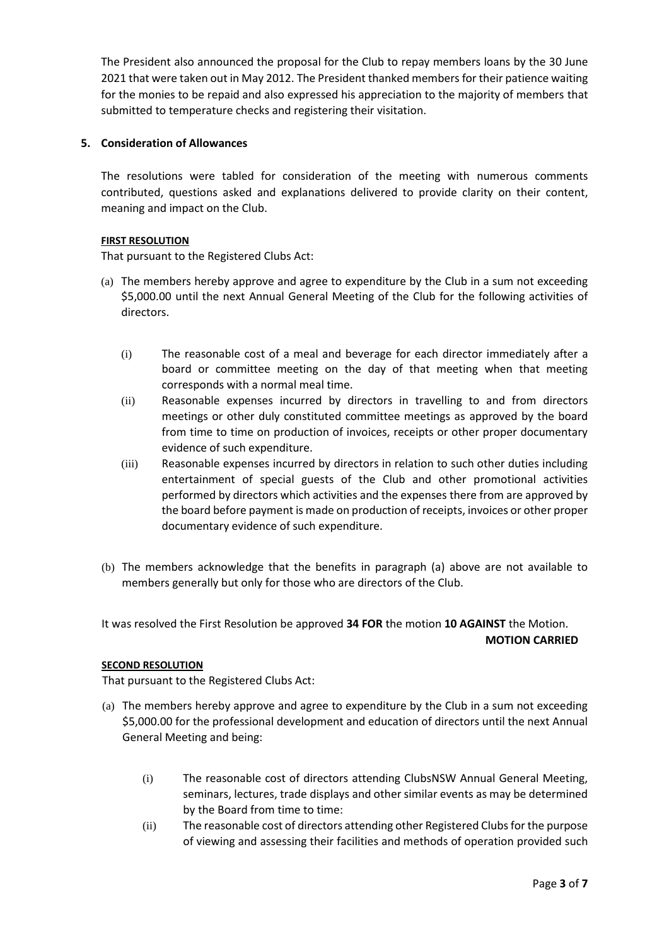The President also announced the proposal for the Club to repay members loans by the 30 June 2021 that were taken out in May 2012. The President thanked members for their patience waiting for the monies to be repaid and also expressed his appreciation to the majority of members that submitted to temperature checks and registering their visitation.

# **5. Consideration of Allowances**

The resolutions were tabled for consideration of the meeting with numerous comments contributed, questions asked and explanations delivered to provide clarity on their content, meaning and impact on the Club.

# **FIRST RESOLUTION**

That pursuant to the Registered Clubs Act:

- (a) The members hereby approve and agree to expenditure by the Club in a sum not exceeding \$5,000.00 until the next Annual General Meeting of the Club for the following activities of directors.
	- (i) The reasonable cost of a meal and beverage for each director immediately after a board or committee meeting on the day of that meeting when that meeting corresponds with a normal meal time.
	- (ii) Reasonable expenses incurred by directors in travelling to and from directors meetings or other duly constituted committee meetings as approved by the board from time to time on production of invoices, receipts or other proper documentary evidence of such expenditure.
	- (iii) Reasonable expenses incurred by directors in relation to such other duties including entertainment of special guests of the Club and other promotional activities performed by directors which activities and the expenses there from are approved by the board before payment is made on production of receipts, invoices or other proper documentary evidence of such expenditure.
- (b) The members acknowledge that the benefits in paragraph (a) above are not available to members generally but only for those who are directors of the Club.

It was resolved the First Resolution be approved **34 FOR** the motion **10 AGAINST** the Motion.

# **MOTION CARRIED**

# **SECOND RESOLUTION**

That pursuant to the Registered Clubs Act:

- (a) The members hereby approve and agree to expenditure by the Club in a sum not exceeding \$5,000.00 for the professional development and education of directors until the next Annual General Meeting and being:
	- (i) The reasonable cost of directors attending ClubsNSW Annual General Meeting, seminars, lectures, trade displays and other similar events as may be determined by the Board from time to time:
	- (ii) The reasonable cost of directors attending other Registered Clubs for the purpose of viewing and assessing their facilities and methods of operation provided such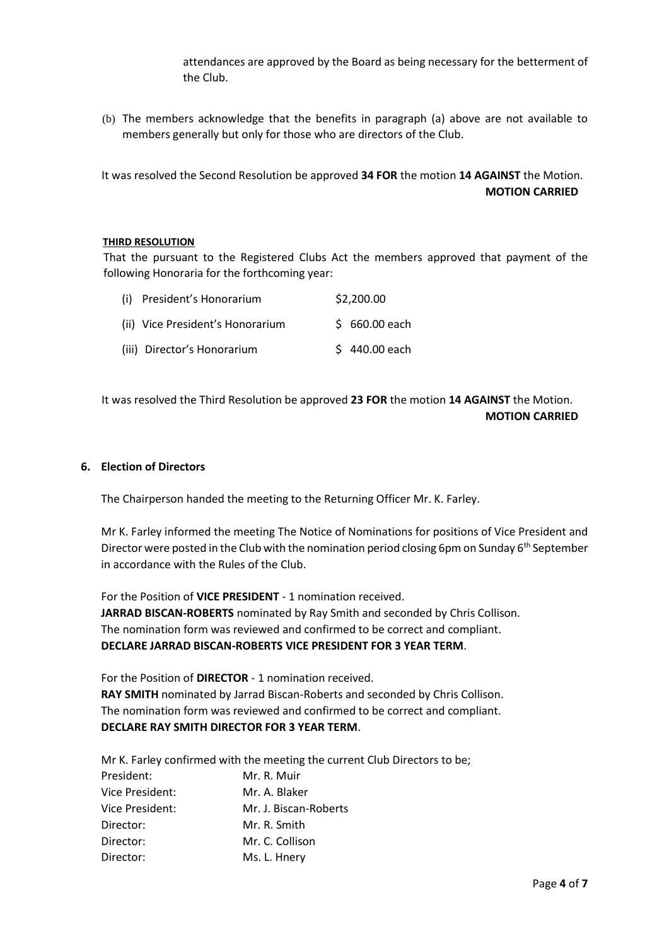attendances are approved by the Board as being necessary for the betterment of the Club.

(b) The members acknowledge that the benefits in paragraph (a) above are not available to members generally but only for those who are directors of the Club.

It was resolved the Second Resolution be approved **34 FOR** the motion **14 AGAINST** the Motion. **MOTION CARRIED**

### **THIRD RESOLUTION**

That the pursuant to the Registered Clubs Act the members approved that payment of the following Honoraria for the forthcoming year:

| (i) President's Honorarium       | \$2,200.00     |
|----------------------------------|----------------|
| (ii) Vice President's Honorarium | $$660.00$ each |
| (iii) Director's Honorarium      | $$440.00$ each |

It was resolved the Third Resolution be approved **23 FOR** the motion **14 AGAINST** the Motion. **MOTION CARRIED**

### **6. Election of Directors**

The Chairperson handed the meeting to the Returning Officer Mr. K. Farley.

Mr K. Farley informed the meeting The Notice of Nominations for positions of Vice President and Director were posted in the Club with the nomination period closing 6pm on Sunday  $6<sup>th</sup>$  September in accordance with the Rules of the Club.

For the Position of **VICE PRESIDENT** - 1 nomination received. **JARRAD BISCAN-ROBERTS** nominated by Ray Smith and seconded by Chris Collison. The nomination form was reviewed and confirmed to be correct and compliant. **DECLARE JARRAD BISCAN-ROBERTS VICE PRESIDENT FOR 3 YEAR TERM**.

For the Position of **DIRECTOR** - 1 nomination received. **RAY SMITH** nominated by Jarrad Biscan-Roberts and seconded by Chris Collison. The nomination form was reviewed and confirmed to be correct and compliant. **DECLARE RAY SMITH DIRECTOR FOR 3 YEAR TERM**.

Mr K. Farley confirmed with the meeting the current Club Directors to be;

| President:      | Mr. R. Muir           |
|-----------------|-----------------------|
| Vice President: | Mr. A. Blaker         |
| Vice President: | Mr. J. Biscan-Roberts |
| Director:       | Mr. R. Smith          |
| Director:       | Mr. C. Collison       |
| Director:       | Ms. L. Hnery          |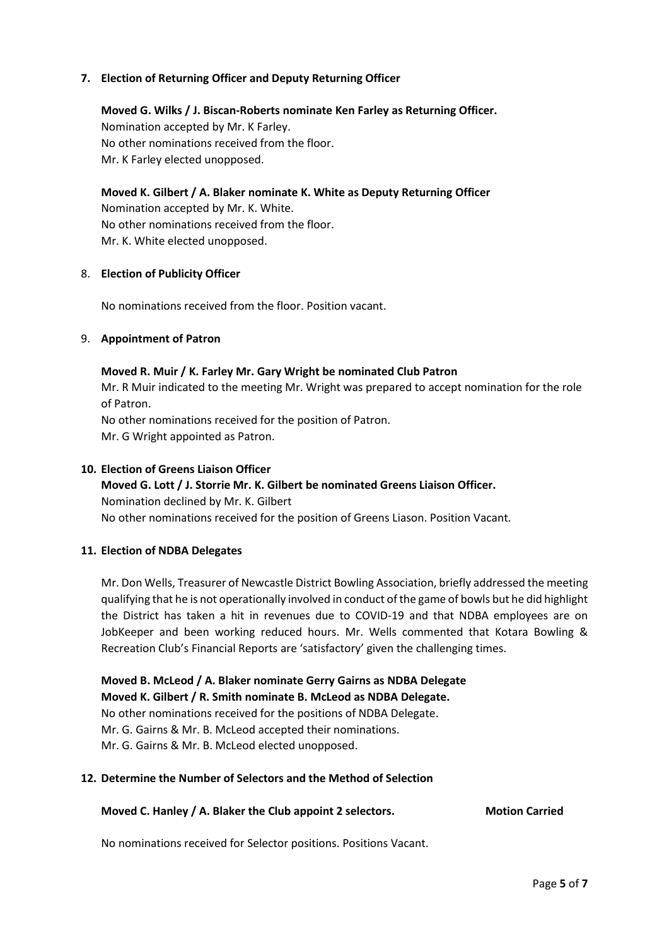# **7. Election of Returning Officer and Deputy Returning Officer**

**Moved G. Wilks / J. Biscan-Roberts nominate Ken Farley as Returning Officer.** Nomination accepted by Mr. K Farley. No other nominations received from the floor. Mr. K Farley elected unopposed.

**Moved K. Gilbert / A. Blaker nominate K. White as Deputy Returning Officer** Nomination accepted by Mr. K. White. No other nominations received from the floor. Mr. K. White elected unopposed.

### 8. **Election of Publicity Officer**

No nominations received from the floor. Position vacant.

### 9. **Appointment of Patron**

### **Moved R. Muir / K. Farley Mr. Gary Wright be nominated Club Patron**

Mr. R Muir indicated to the meeting Mr. Wright was prepared to accept nomination for the role of Patron.

No other nominations received for the position of Patron.

Mr. G Wright appointed as Patron.

### **10. Election of Greens Liaison Officer**

# **Moved G. Lott / J. Storrie Mr. K. Gilbert be nominated Greens Liaison Officer.** Nomination declined by Mr. K. Gilbert No other nominations received for the position of Greens Liason. Position Vacant.

# **11. Election of NDBA Delegates**

Mr. Don Wells, Treasurer of Newcastle District Bowling Association, briefly addressed the meeting qualifying that he is not operationally involved in conduct of the game of bowls but he did highlight the District has taken a hit in revenues due to COVID-19 and that NDBA employees are on JobKeeper and been working reduced hours. Mr. Wells commented that Kotara Bowling & Recreation Club's Financial Reports are 'satisfactory' given the challenging times.

**Moved B. McLeod / A. Blaker nominate Gerry Gairns as NDBA Delegate Moved K. Gilbert / R. Smith nominate B. McLeod as NDBA Delegate.** No other nominations received for the positions of NDBA Delegate. Mr. G. Gairns & Mr. B. McLeod accepted their nominations. Mr. G. Gairns & Mr. B. McLeod elected unopposed.

#### **12. Determine the Number of Selectors and the Method of Selection**

# **Moved C. Hanley / A. Blaker the Club appoint 2 selectors. Motion Carried**

No nominations received for Selector positions. Positions Vacant.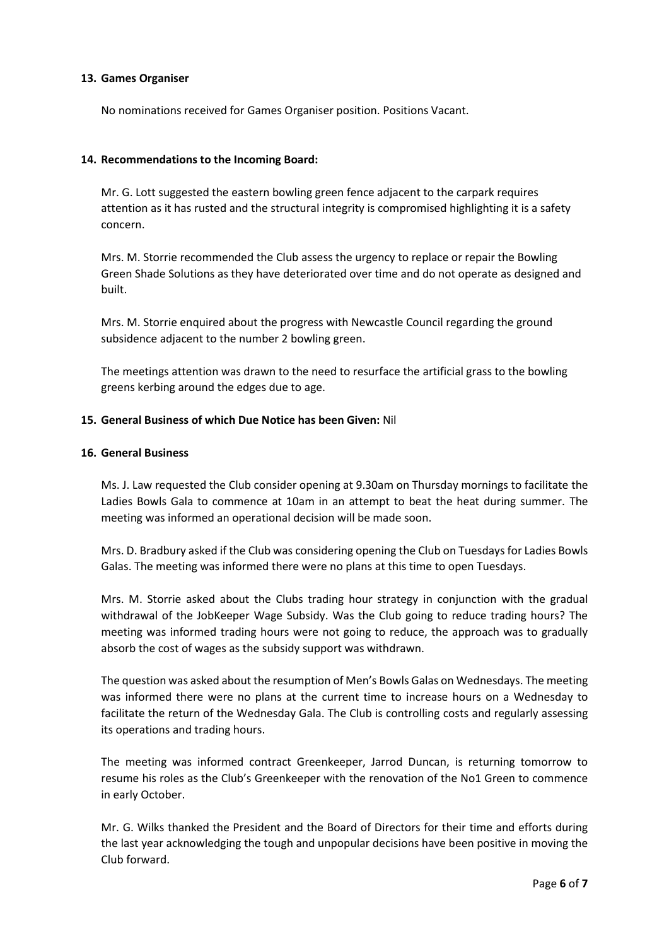# **13. Games Organiser**

No nominations received for Games Organiser position. Positions Vacant.

# **14. Recommendations to the Incoming Board:**

Mr. G. Lott suggested the eastern bowling green fence adjacent to the carpark requires attention as it has rusted and the structural integrity is compromised highlighting it is a safety concern.

Mrs. M. Storrie recommended the Club assess the urgency to replace or repair the Bowling Green Shade Solutions as they have deteriorated over time and do not operate as designed and built.

Mrs. M. Storrie enquired about the progress with Newcastle Council regarding the ground subsidence adjacent to the number 2 bowling green.

The meetings attention was drawn to the need to resurface the artificial grass to the bowling greens kerbing around the edges due to age.

# **15. General Business of which Due Notice has been Given:** Nil

# **16. General Business**

Ms. J. Law requested the Club consider opening at 9.30am on Thursday mornings to facilitate the Ladies Bowls Gala to commence at 10am in an attempt to beat the heat during summer. The meeting was informed an operational decision will be made soon.

Mrs. D. Bradbury asked if the Club was considering opening the Club on Tuesdays for Ladies Bowls Galas. The meeting was informed there were no plans at this time to open Tuesdays.

Mrs. M. Storrie asked about the Clubs trading hour strategy in conjunction with the gradual withdrawal of the JobKeeper Wage Subsidy. Was the Club going to reduce trading hours? The meeting was informed trading hours were not going to reduce, the approach was to gradually absorb the cost of wages as the subsidy support was withdrawn.

The question was asked about the resumption of Men's Bowls Galas on Wednesdays. The meeting was informed there were no plans at the current time to increase hours on a Wednesday to facilitate the return of the Wednesday Gala. The Club is controlling costs and regularly assessing its operations and trading hours.

The meeting was informed contract Greenkeeper, Jarrod Duncan, is returning tomorrow to resume his roles as the Club's Greenkeeper with the renovation of the No1 Green to commence in early October.

Mr. G. Wilks thanked the President and the Board of Directors for their time and efforts during the last year acknowledging the tough and unpopular decisions have been positive in moving the Club forward.